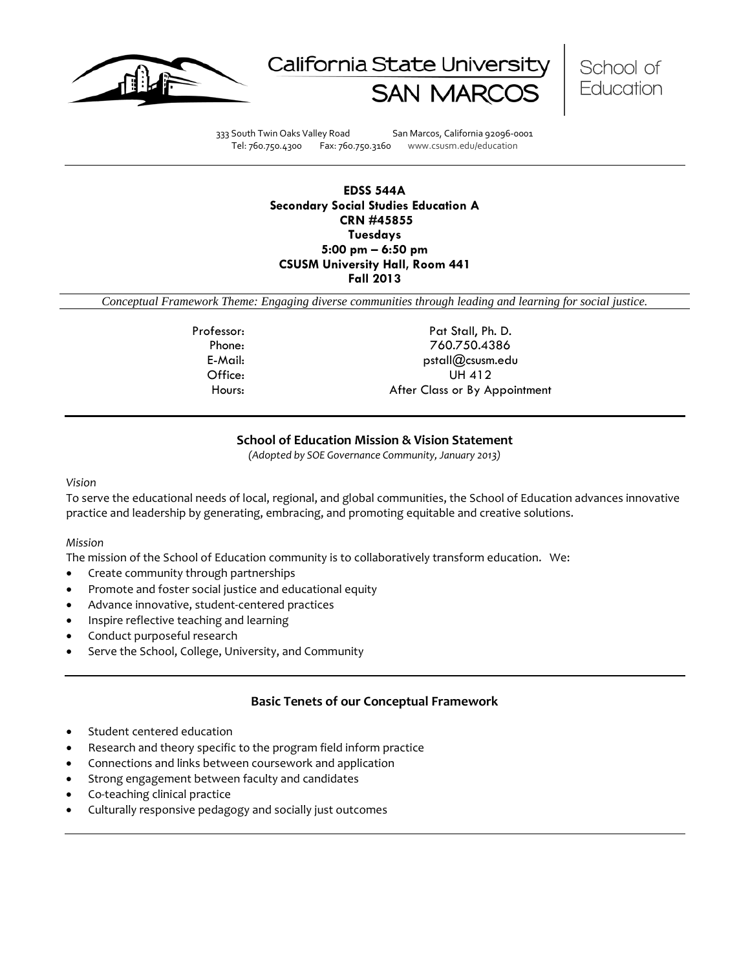





333 South Twin Oaks Valley Road San Marcos, California 92096-0001 Tel: 760.750.4300 Fax: 760.750.3160 www.csusm.edu/education

**EDSS 544A Secondary Social Studies Education A CRN #45855 Tuesdays 5:00 pm – 6:50 pm CSUSM University Hall, Room 441 Fall 2013** 

*Conceptual Framework Theme: Engaging diverse communities through leading and learning for social justice.*

Professor: Professor: Pat Stall, Ph. D. Phone: 760.750.4386 E-Mail: pstall@csusm.edu Office: UH 412 Hours: After Class or By Appointment

# **School of Education Mission & Vision Statement**

*(Adopted by SOE Governance Community, January 2013)*

#### *Vision*

To serve the educational needs of local, regional, and global communities, the School of Education advances innovative practice and leadership by generating, embracing, and promoting equitable and creative solutions.

#### *Mission*

The mission of the School of Education community is to collaboratively transform education. We:

- Create community through partnerships
- Promote and foster social justice and educational equity
- Advance innovative, student-centered practices
- Inspire reflective teaching and learning
- Conduct purposeful research
- Serve the School, College, University, and Community

#### **Basic Tenets of our Conceptual Framework**

- Student centered education
- Research and theory specific to the program field inform practice
- Connections and links between coursework and application
- Strong engagement between faculty and candidates
- Co-teaching clinical practice
- Culturally responsive pedagogy and socially just outcomes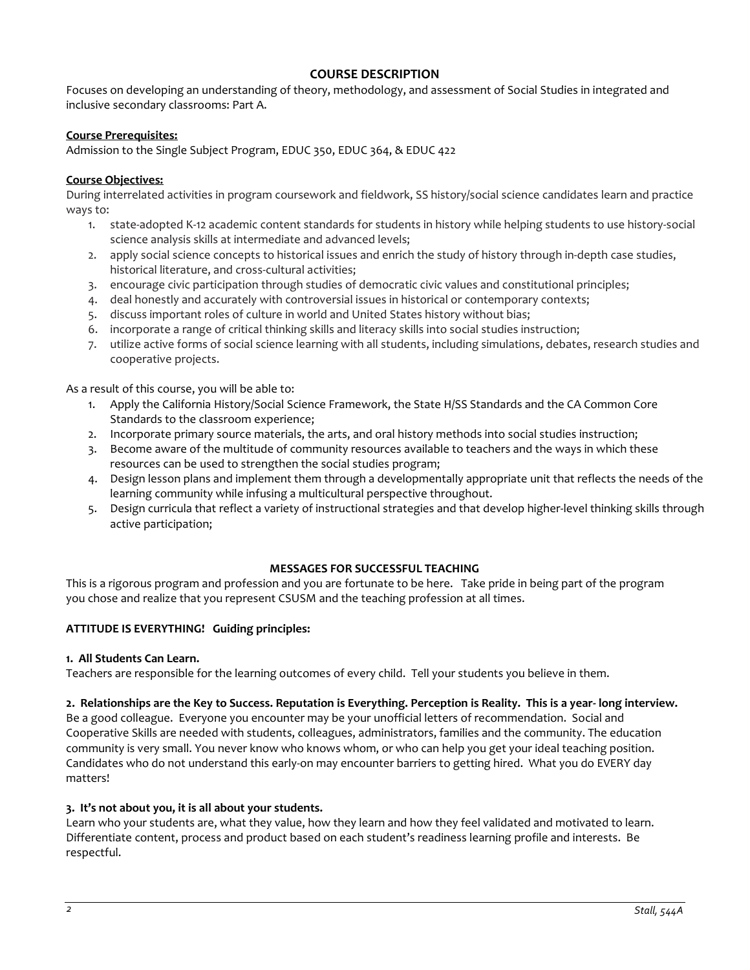# **COURSE DESCRIPTION**

Focuses on developing an understanding of theory, methodology, and assessment of Social Studies in integrated and inclusive secondary classrooms: Part A.

#### **Course Prerequisites:**

Admission to the Single Subject Program, EDUC 350, EDUC 364, & EDUC 422

#### **Course Objectives:**

During interrelated activities in program coursework and fieldwork, SS history/social science candidates learn and practice ways to:

- 1. state-adopted K-12 academic content standards for students in history while helping students to use history-social science analysis skills at intermediate and advanced levels;
- 2. apply social science concepts to historical issues and enrich the study of history through in-depth case studies, historical literature, and cross-cultural activities;
- 3. encourage civic participation through studies of democratic civic values and constitutional principles;
- 4. deal honestly and accurately with controversial issues in historical or contemporary contexts;
- 5. discuss important roles of culture in world and United States history without bias;
- 6. incorporate a range of critical thinking skills and literacy skills into social studies instruction;
- 7. utilize active forms of social science learning with all students, including simulations, debates, research studies and cooperative projects.

As a result of this course, you will be able to:

- 1. Apply the California History/Social Science Framework, the State H/SS Standards and the CA Common Core Standards to the classroom experience;
- 2. Incorporate primary source materials, the arts, and oral history methods into social studies instruction;
- 3. Become aware of the multitude of community resources available to teachers and the ways in which these resources can be used to strengthen the social studies program;
- 4. Design lesson plans and implement them through a developmentally appropriate unit that reflects the needs of the learning community while infusing a multicultural perspective throughout.
- 5. Design curricula that reflect a variety of instructional strategies and that develop higher-level thinking skills through active participation;

#### **MESSAGES FOR SUCCESSFUL TEACHING**

This is a rigorous program and profession and you are fortunate to be here. Take pride in being part of the program you chose and realize that you represent CSUSM and the teaching profession at all times.

#### **ATTITUDE IS EVERYTHING! Guiding principles:**

#### **1. All Students Can Learn.**

Teachers are responsible for the learning outcomes of every child. Tell your students you believe in them.

#### **2. Relationships are the Key to Success. Reputation is Everything. Perception is Reality. This is a year- long interview.**

Be a good colleague. Everyone you encounter may be your unofficial letters of recommendation. Social and Cooperative Skills are needed with students, colleagues, administrators, families and the community. The education community is very small. You never know who knows whom, or who can help you get your ideal teaching position. Candidates who do not understand this early-on may encounter barriers to getting hired. What you do EVERY day matters!

#### **3. It's not about you, it is all about your students.**

Learn who your students are, what they value, how they learn and how they feel validated and motivated to learn. Differentiate content, process and product based on each student's readiness learning profile and interests. Be respectful.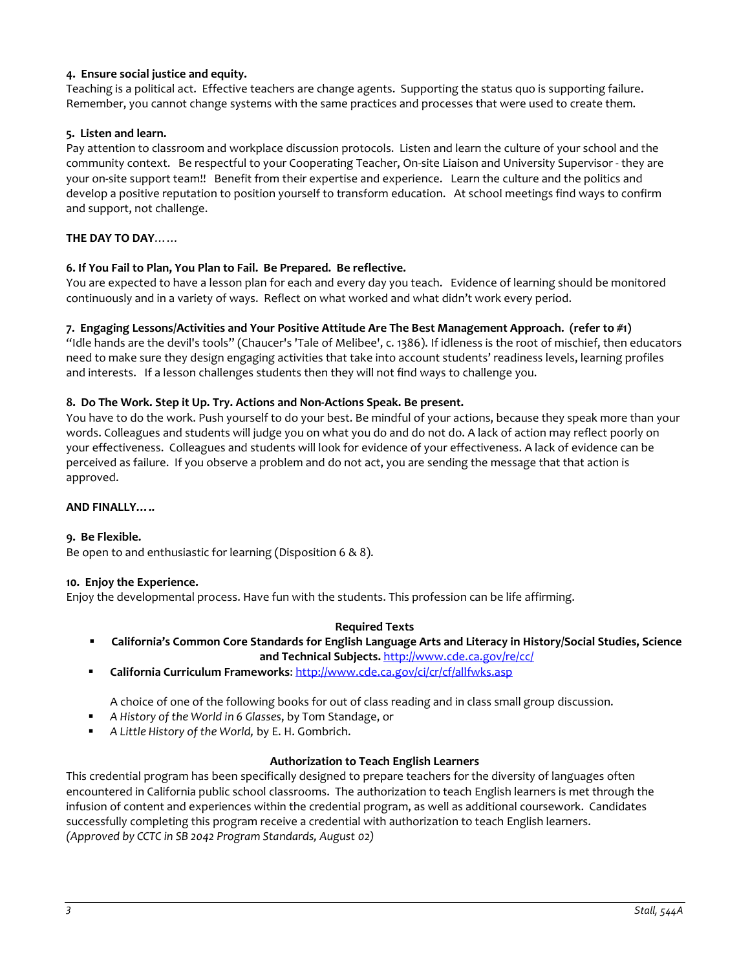# **4. Ensure social justice and equity.**

Teaching is a political act. Effective teachers are change agents. Supporting the status quo is supporting failure. Remember, you cannot change systems with the same practices and processes that were used to create them.

#### **5. Listen and learn.**

Pay attention to classroom and workplace discussion protocols. Listen and learn the culture of your school and the community context. Be respectful to your Cooperating Teacher, On-site Liaison and University Supervisor - they are your on-site support team!! Benefit from their expertise and experience. Learn the culture and the politics and develop a positive reputation to position yourself to transform education. At school meetings find ways to confirm and support, not challenge.

#### **THE DAY TO DAY**……

#### **6. If You Fail to Plan, You Plan to Fail. Be Prepared. Be reflective.**

You are expected to have a lesson plan for each and every day you teach. Evidence of learning should be monitored continuously and in a variety of ways. Reflect on what worked and what didn't work every period.

#### **7. Engaging Lessons/Activities and Your Positive Attitude Are The Best Management Approach. (refer to #1)**

"Idle hands are the devil's tools" (Chaucer's 'Tale of Melibee', c. 1386). If idleness is the root of mischief, then educators need to make sure they design engaging activities that take into account students' readiness levels, learning profiles and interests. If a lesson challenges students then they will not find ways to challenge you.

#### **8. Do The Work. Step it Up. Try. Actions and Non-Actions Speak. Be present.**

You have to do the work. Push yourself to do your best. Be mindful of your actions, because they speak more than your words. Colleagues and students will judge you on what you do and do not do. A lack of action may reflect poorly on your effectiveness. Colleagues and students will look for evidence of your effectiveness. A lack of evidence can be perceived as failure. If you observe a problem and do not act, you are sending the message that that action is approved.

#### **AND FINALLY…..**

#### **9. Be Flexible.**

Be open to and enthusiastic for learning (Disposition 6 & 8).

#### **10. Enjoy the Experience.**

Enjoy the developmental process. Have fun with the students. This profession can be life affirming.

#### **Required Texts**

- **California's Common Core Standards for English Language Arts and Literacy in History/Social Studies, Science and Technical Subjects.** <http://www.cde.ca.gov/re/cc/>
- **California Curriculum Frameworks**[: http://www.cde.ca.gov/ci/cr/cf/allfwks.asp](http://www.cde.ca.gov/ci/cr/cf/allfwks.asp)

A choice of one of the following books for out of class reading and in class small group discussion.

- *A History of the World in 6 Glasses*, by Tom Standage, or
- *A Little History of the World,* by E. H. Gombrich.

#### **Authorization to Teach English Learners**

This credential program has been specifically designed to prepare teachers for the diversity of languages often encountered in California public school classrooms. The authorization to teach English learners is met through the infusion of content and experiences within the credential program, as well as additional coursework. Candidates successfully completing this program receive a credential with authorization to teach English learners. *(Approved by CCTC in SB 2042 Program Standards, August 02)*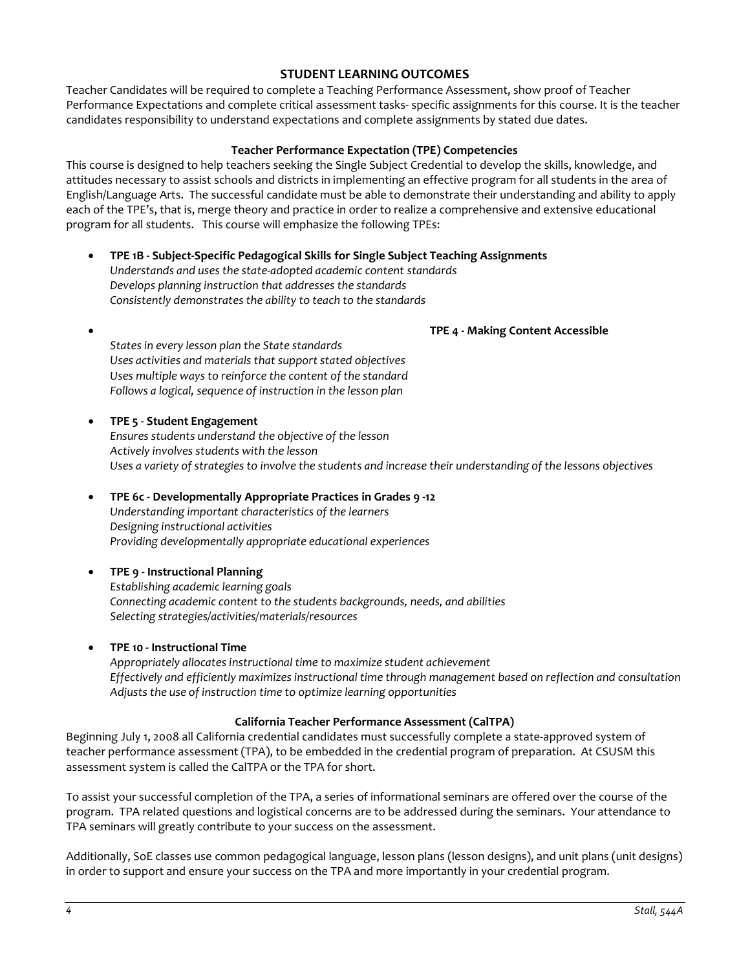# **STUDENT LEARNING OUTCOMES**

Teacher Candidates will be required to complete a Teaching Performance Assessment, show proof of Teacher Performance Expectations and complete critical assessment tasks- specific assignments for this course. It is the teacher candidates responsibility to understand expectations and complete assignments by stated due dates.

#### **Teacher Performance Expectation (TPE) Competencies**

This course is designed to help teachers seeking the Single Subject Credential to develop the skills, knowledge, and attitudes necessary to assist schools and districts in implementing an effective program for all students in the area of English/Language Arts. The successful candidate must be able to demonstrate their understanding and ability to apply each of the TPE's, that is, merge theory and practice in order to realize a comprehensive and extensive educational program for all students. This course will emphasize the following TPEs:

- **TPE 1B - Subject-Specific Pedagogical Skills for Single Subject Teaching Assignments** *Understands and uses the state-adopted academic content standards Develops planning instruction that addresses the standards Consistently demonstrates the ability to teach to the standards*
- **TPE 4 - Making Content Accessible** *States in every lesson plan the State standards Uses activities and materials that support stated objectives Uses multiple ways to reinforce the content of the standard Follows a logical, sequence of instruction in the lesson plan*
	- **TPE 5 - Student Engagement** *Ensures students understand the objective of the lesson Actively involves students with the lesson Uses a variety of strategies to involve the students and increase their understanding of the lessons objectives*
- **TPE 6c - Developmentally Appropriate Practices in Grades 9 -12** *Understanding important characteristics of the learners Designing instructional activities Providing developmentally appropriate educational experiences*

# • **TPE 9 - Instructional Planning**

*Establishing academic learning goals Connecting academic content to the students backgrounds, needs, and abilities Selecting strategies/activities/materials/resources*

#### • **TPE 10 - Instructional Time**

*Appropriately allocates instructional time to maximize student achievement Effectively and efficiently maximizes instructional time through management based on reflection and consultation Adjusts the use of instruction time to optimize learning opportunities*

#### **California Teacher Performance Assessment (CalTPA)**

Beginning July 1, 2008 all California credential candidates must successfully complete a state-approved system of teacher performance assessment (TPA), to be embedded in the credential program of preparation. At CSUSM this assessment system is called the CalTPA or the TPA for short.

To assist your successful completion of the TPA, a series of informational seminars are offered over the course of the program. TPA related questions and logistical concerns are to be addressed during the seminars. Your attendance to TPA seminars will greatly contribute to your success on the assessment.

Additionally, SoE classes use common pedagogical language, lesson plans (lesson designs), and unit plans (unit designs) in order to support and ensure your success on the TPA and more importantly in your credential program.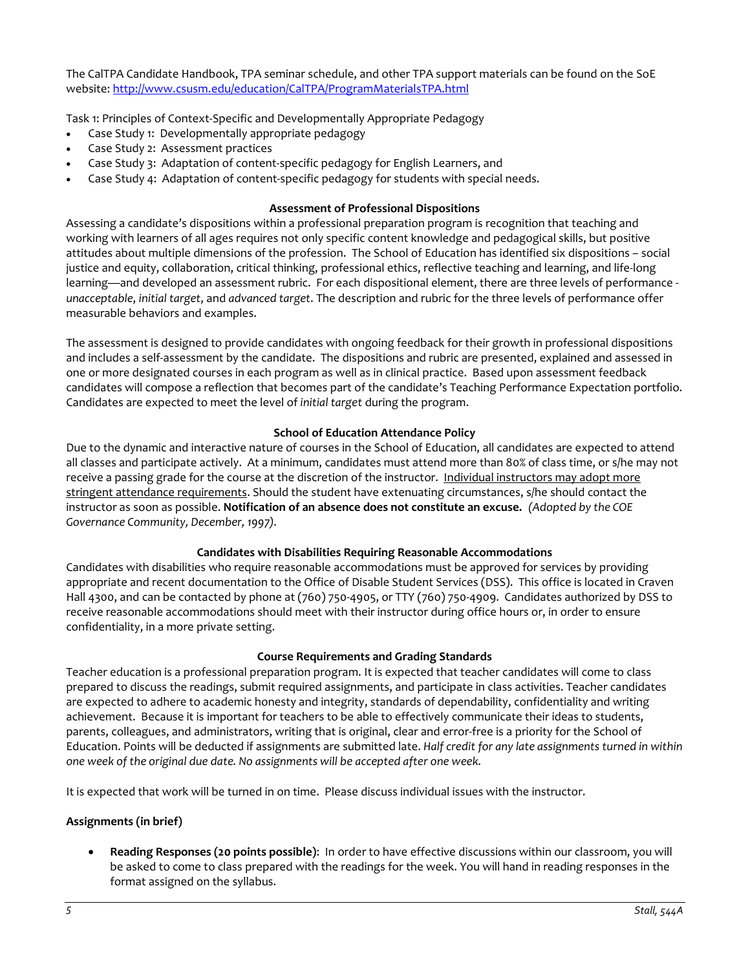The CalTPA Candidate Handbook, TPA seminar schedule, and other TPA support materials can be found on the SoE website: <http://www.csusm.edu/education/CalTPA/ProgramMaterialsTPA.html>

Task 1: Principles of Context-Specific and Developmentally Appropriate Pedagogy

- Case Study 1: Developmentally appropriate pedagogy
- Case Study 2: Assessment practices
- Case Study 3: Adaptation of content-specific pedagogy for English Learners, and
- Case Study 4: Adaptation of content-specific pedagogy for students with special needs.

#### **Assessment of Professional Dispositions**

Assessing a candidate's dispositions within a professional preparation program is recognition that teaching and working with learners of all ages requires not only specific content knowledge and pedagogical skills, but positive attitudes about multiple dimensions of the profession. The School of Education has identified six dispositions – social justice and equity, collaboration, critical thinking, professional ethics, reflective teaching and learning, and life-long learning—and developed an assessment rubric. For each dispositional element, there are three levels of performance *unacceptable*, *initial target*, and *advanced target*. The description and rubric for the three levels of performance offer measurable behaviors and examples.

The assessment is designed to provide candidates with ongoing feedback for their growth in professional dispositions and includes a self-assessment by the candidate. The dispositions and rubric are presented, explained and assessed in one or more designated courses in each program as well as in clinical practice. Based upon assessment feedback candidates will compose a reflection that becomes part of the candidate's Teaching Performance Expectation portfolio. Candidates are expected to meet the level of *initial target* during the program.

#### **School of Education Attendance Policy**

Due to the dynamic and interactive nature of courses in the School of Education, all candidates are expected to attend all classes and participate actively. At a minimum, candidates must attend more than 80% of class time, or s/he may not receive a passing grade for the course at the discretion of the instructor. Individual instructors may adopt more stringent attendance requirements. Should the student have extenuating circumstances, s/he should contact the instructor as soon as possible. **Notification of an absence does not constitute an excuse.** *(Adopted by the COE Governance Community, December, 1997).*

# **Candidates with Disabilities Requiring Reasonable Accommodations**

Candidates with disabilities who require reasonable accommodations must be approved for services by providing appropriate and recent documentation to the Office of Disable Student Services (DSS). This office is located in Craven Hall 4300, and can be contacted by phone at (760) 750-4905, or TTY (760) 750-4909. Candidates authorized by DSS to receive reasonable accommodations should meet with their instructor during office hours or, in order to ensure confidentiality, in a more private setting.

#### **Course Requirements and Grading Standards**

Teacher education is a professional preparation program. It is expected that teacher candidates will come to class prepared to discuss the readings, submit required assignments, and participate in class activities. Teacher candidates are expected to adhere to academic honesty and integrity, standards of dependability, confidentiality and writing achievement. Because it is important for teachers to be able to effectively communicate their ideas to students, parents, colleagues, and administrators, writing that is original, clear and error-free is a priority for the School of Education. Points will be deducted if assignments are submitted late. *Half credit for any late assignments turned in within one week of the original due date. No assignments will be accepted after one week.*

It is expected that work will be turned in on time. Please discuss individual issues with the instructor.

# **Assignments (in brief)**

• **Reading Responses (20 points possible)**: In order to have effective discussions within our classroom, you will be asked to come to class prepared with the readings for the week. You will hand in reading responses in the format assigned on the syllabus.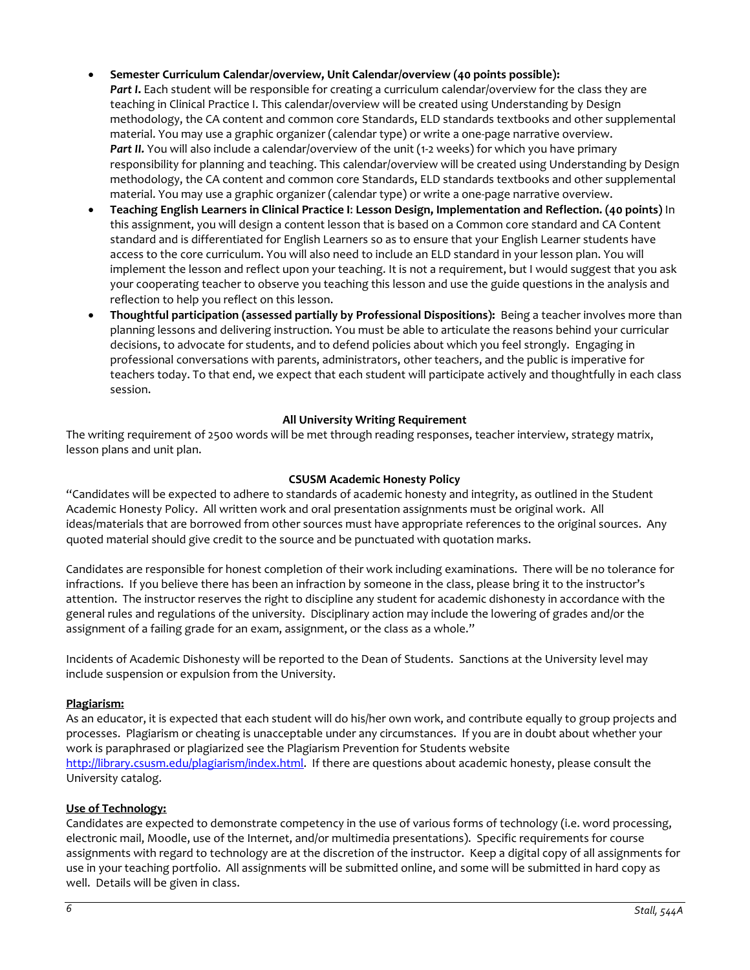# • **Semester Curriculum Calendar/overview, Unit Calendar/overview (40 points possible):**

- *Part I***.** Each student will be responsible for creating a curriculum calendar/overview for the class they are teaching in Clinical Practice I. This calendar/overview will be created using Understanding by Design methodology, the CA content and common core Standards, ELD standards textbooks and other supplemental material. You may use a graphic organizer (calendar type) or write a one-page narrative overview. Part II. You will also include a calendar/overview of the unit (1-2 weeks) for which you have primary responsibility for planning and teaching. This calendar/overview will be created using Understanding by Design methodology, the CA content and common core Standards, ELD standards textbooks and other supplemental material. You may use a graphic organizer (calendar type) or write a one-page narrative overview.
- **Teaching English Learners in Clinical Practice I**: **Lesson Design, Implementation and Reflection. (40 points)** In this assignment, you will design a content lesson that is based on a Common core standard and CA Content standard and is differentiated for English Learners so as to ensure that your English Learner students have access to the core curriculum. You will also need to include an ELD standard in your lesson plan. You will implement the lesson and reflect upon your teaching. It is not a requirement, but I would suggest that you ask your cooperating teacher to observe you teaching this lesson and use the guide questions in the analysis and reflection to help you reflect on this lesson.
- **Thoughtful participation (assessed partially by Professional Dispositions):** Being a teacher involves more than planning lessons and delivering instruction. You must be able to articulate the reasons behind your curricular decisions, to advocate for students, and to defend policies about which you feel strongly. Engaging in professional conversations with parents, administrators, other teachers, and the public is imperative for teachers today. To that end, we expect that each student will participate actively and thoughtfully in each class session.

#### **All University Writing Requirement**

The writing requirement of 2500 words will be met through reading responses, teacher interview, strategy matrix, lesson plans and unit plan.

#### **CSUSM Academic Honesty Policy**

"Candidates will be expected to adhere to standards of academic honesty and integrity, as outlined in the Student Academic Honesty Policy. All written work and oral presentation assignments must be original work. All ideas/materials that are borrowed from other sources must have appropriate references to the original sources. Any quoted material should give credit to the source and be punctuated with quotation marks.

Candidates are responsible for honest completion of their work including examinations. There will be no tolerance for infractions. If you believe there has been an infraction by someone in the class, please bring it to the instructor's attention. The instructor reserves the right to discipline any student for academic dishonesty in accordance with the general rules and regulations of the university. Disciplinary action may include the lowering of grades and/or the assignment of a failing grade for an exam, assignment, or the class as a whole."

Incidents of Academic Dishonesty will be reported to the Dean of Students. Sanctions at the University level may include suspension or expulsion from the University.

#### **Plagiarism:**

As an educator, it is expected that each student will do his/her own work, and contribute equally to group projects and processes. Plagiarism or cheating is unacceptable under any circumstances. If you are in doubt about whether your work is paraphrased or plagiarized see the Plagiarism Prevention for Students website [http://library.csusm.edu/plagiarism/index.html.](http://library.csusm.edu/plagiarism/index.html) If there are questions about academic honesty, please consult the University catalog.

#### **Use of Technology:**

Candidates are expected to demonstrate competency in the use of various forms of technology (i.e. word processing, electronic mail, Moodle, use of the Internet, and/or multimedia presentations). Specific requirements for course assignments with regard to technology are at the discretion of the instructor. Keep a digital copy of all assignments for use in your teaching portfolio. All assignments will be submitted online, and some will be submitted in hard copy as well. Details will be given in class.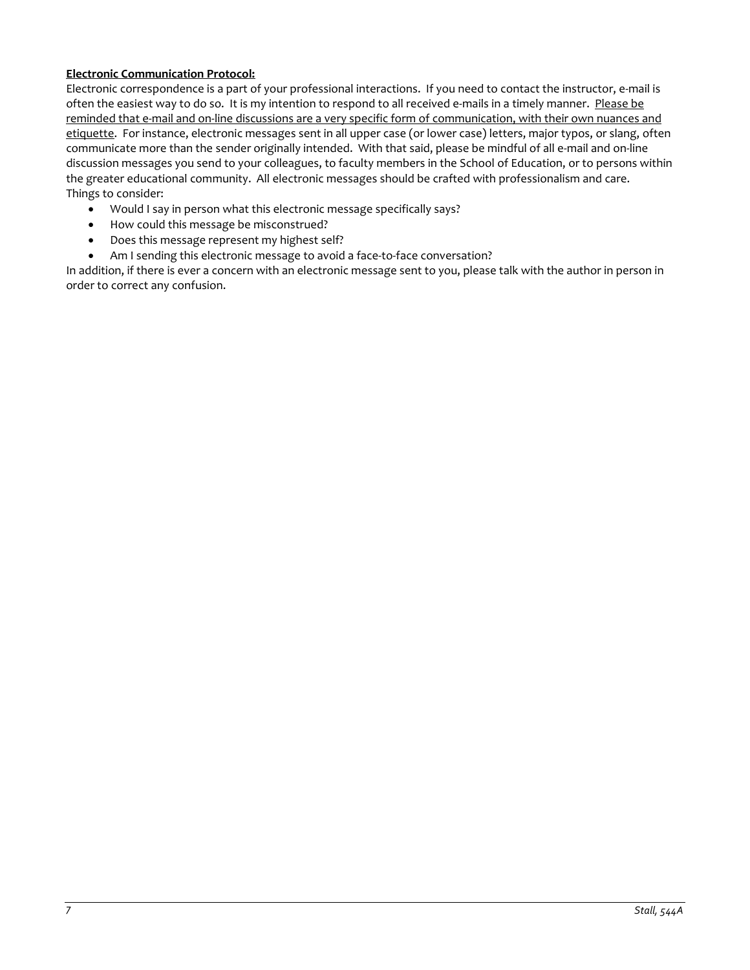# **Electronic Communication Protocol:**

Electronic correspondence is a part of your professional interactions. If you need to contact the instructor, e-mail is often the easiest way to do so. It is my intention to respond to all received e-mails in a timely manner. Please be reminded that e-mail and on-line discussions are a very specific form of communication, with their own nuances and etiquette. For instance, electronic messages sent in all upper case (or lower case) letters, major typos, or slang, often communicate more than the sender originally intended. With that said, please be mindful of all e-mail and on-line discussion messages you send to your colleagues, to faculty members in the School of Education, or to persons within the greater educational community. All electronic messages should be crafted with professionalism and care. Things to consider:

- Would I say in person what this electronic message specifically says?
- How could this message be misconstrued?
- Does this message represent my highest self?
- Am I sending this electronic message to avoid a face-to-face conversation?

In addition, if there is ever a concern with an electronic message sent to you, please talk with the author in person in order to correct any confusion.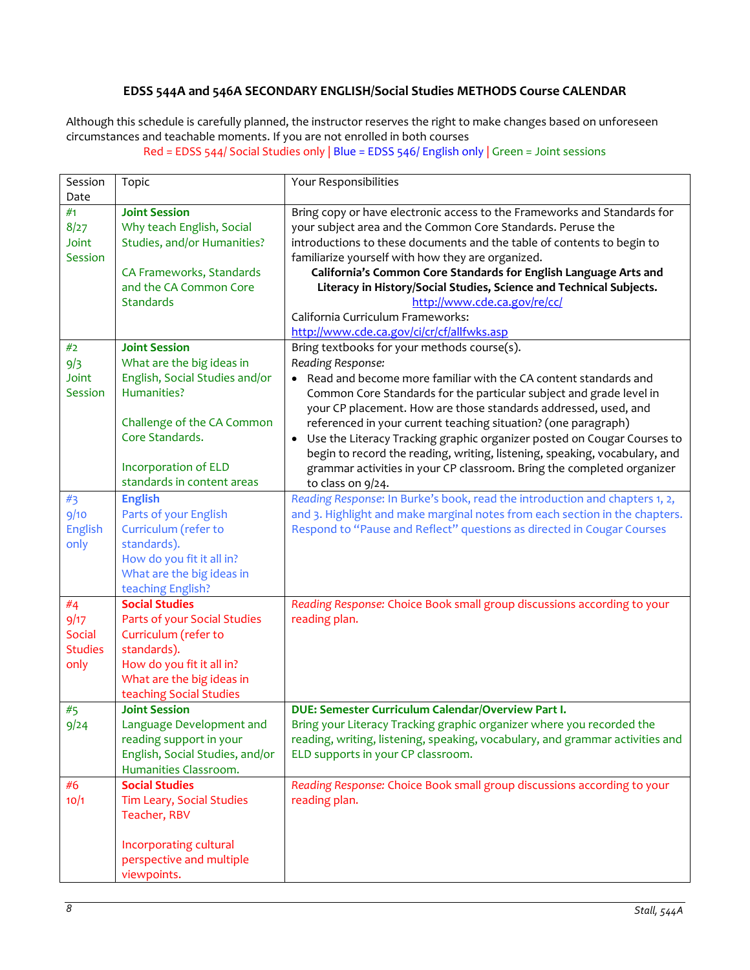# **EDSS 544A and 546A SECONDARY ENGLISH/Social Studies METHODS Course CALENDAR**

Although this schedule is carefully planned, the instructor reserves the right to make changes based on unforeseen circumstances and teachable moments. If you are not enrolled in both courses

Red = EDSS 544/ Social Studies only | Blue = EDSS 546/ English only | Green = Joint sessions

| Session        | Topic                                           | Your Responsibilities                                                                |  |  |  |
|----------------|-------------------------------------------------|--------------------------------------------------------------------------------------|--|--|--|
| Date           |                                                 |                                                                                      |  |  |  |
| #1             | <b>Joint Session</b>                            | Bring copy or have electronic access to the Frameworks and Standards for             |  |  |  |
| 8/27           | Why teach English, Social                       | your subject area and the Common Core Standards. Peruse the                          |  |  |  |
| Joint          | Studies, and/or Humanities?                     | introductions to these documents and the table of contents to begin to               |  |  |  |
| Session        |                                                 | familiarize yourself with how they are organized.                                    |  |  |  |
|                | CA Frameworks, Standards                        | California's Common Core Standards for English Language Arts and                     |  |  |  |
|                | and the CA Common Core                          | Literacy in History/Social Studies, Science and Technical Subjects.                  |  |  |  |
|                | <b>Standards</b>                                | http://www.cde.ca.gov/re/cc/                                                         |  |  |  |
|                |                                                 | California Curriculum Frameworks:                                                    |  |  |  |
|                |                                                 | http://www.cde.ca.gov/ci/cr/cf/allfwks.asp                                           |  |  |  |
| #2             | <b>Joint Session</b>                            | Bring textbooks for your methods course(s).                                          |  |  |  |
| 9/3            | What are the big ideas in                       | Reading Response:                                                                    |  |  |  |
| Joint          | English, Social Studies and/or                  | • Read and become more familiar with the CA content standards and                    |  |  |  |
| Session        | Humanities?                                     | Common Core Standards for the particular subject and grade level in                  |  |  |  |
|                |                                                 | your CP placement. How are those standards addressed, used, and                      |  |  |  |
|                | Challenge of the CA Common                      | referenced in your current teaching situation? (one paragraph)                       |  |  |  |
|                | Core Standards.                                 | Use the Literacy Tracking graphic organizer posted on Cougar Courses to<br>$\bullet$ |  |  |  |
|                |                                                 | begin to record the reading, writing, listening, speaking, vocabulary, and           |  |  |  |
|                | Incorporation of ELD                            | grammar activities in your CP classroom. Bring the completed organizer               |  |  |  |
|                | standards in content areas                      | to class on 9/24.                                                                    |  |  |  |
| #3             | <b>English</b>                                  | Reading Response: In Burke's book, read the introduction and chapters 1, 2,          |  |  |  |
| 9/10           | Parts of your English                           | and 3. Highlight and make marginal notes from each section in the chapters.          |  |  |  |
| English        | Curriculum (refer to                            | Respond to "Pause and Reflect" questions as directed in Cougar Courses               |  |  |  |
| only           | standards).                                     |                                                                                      |  |  |  |
|                | How do you fit it all in?                       |                                                                                      |  |  |  |
|                | What are the big ideas in                       |                                                                                      |  |  |  |
|                | teaching English?                               |                                                                                      |  |  |  |
| #4             | <b>Social Studies</b>                           | Reading Response: Choice Book small group discussions according to your              |  |  |  |
| 9/17           | Parts of your Social Studies                    | reading plan.                                                                        |  |  |  |
| Social         | Curriculum (refer to                            |                                                                                      |  |  |  |
| <b>Studies</b> | standards).                                     |                                                                                      |  |  |  |
| only           | How do you fit it all in?                       |                                                                                      |  |  |  |
|                | What are the big ideas in                       |                                                                                      |  |  |  |
|                | teaching Social Studies<br><b>Joint Session</b> | DUE: Semester Curriculum Calendar/Overview Part I.                                   |  |  |  |
| #5             | Language Development and                        | Bring your Literacy Tracking graphic organizer where you recorded the                |  |  |  |
| 9/24           | reading support in your                         | reading, writing, listening, speaking, vocabulary, and grammar activities and        |  |  |  |
|                | English, Social Studies, and/or                 | ELD supports in your CP classroom.                                                   |  |  |  |
|                | Humanities Classroom.                           |                                                                                      |  |  |  |
| #6             | <b>Social Studies</b>                           | Reading Response: Choice Book small group discussions according to your              |  |  |  |
| 10/1           | Tim Leary, Social Studies                       | reading plan.                                                                        |  |  |  |
|                | Teacher, RBV                                    |                                                                                      |  |  |  |
|                |                                                 |                                                                                      |  |  |  |
|                | Incorporating cultural                          |                                                                                      |  |  |  |
|                | perspective and multiple                        |                                                                                      |  |  |  |
|                | viewpoints.                                     |                                                                                      |  |  |  |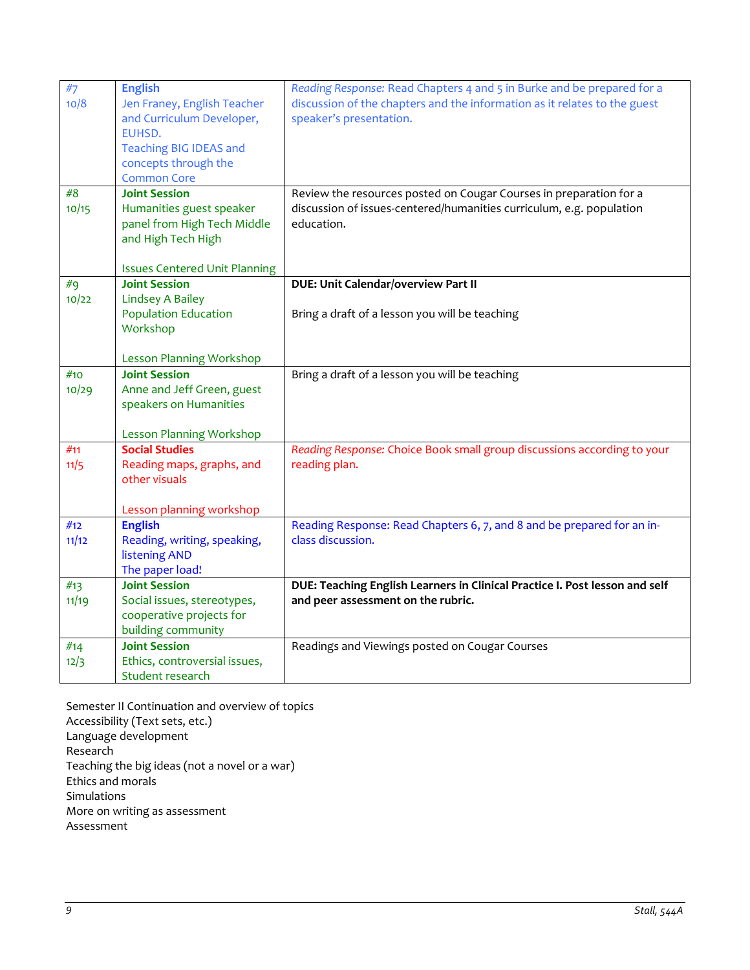| #7<br>10/8 | <b>English</b><br>Jen Franey, English Teacher | Reading Response: Read Chapters 4 and 5 in Burke and be prepared for a<br>discussion of the chapters and the information as it relates to the guest |
|------------|-----------------------------------------------|-----------------------------------------------------------------------------------------------------------------------------------------------------|
|            | and Curriculum Developer,<br>EUHSD.           | speaker's presentation.                                                                                                                             |
|            | <b>Teaching BIG IDEAS and</b>                 |                                                                                                                                                     |
|            | concepts through the<br><b>Common Core</b>    |                                                                                                                                                     |
| #8         | <b>Joint Session</b>                          | Review the resources posted on Cougar Courses in preparation for a                                                                                  |
| 10/15      | Humanities guest speaker                      | discussion of issues-centered/humanities curriculum, e.g. population                                                                                |
|            | panel from High Tech Middle                   | education.                                                                                                                                          |
|            | and High Tech High                            |                                                                                                                                                     |
|            | <b>Issues Centered Unit Planning</b>          |                                                                                                                                                     |
| #9         | <b>Joint Session</b>                          | DUE: Unit Calendar/overview Part II                                                                                                                 |
| 10/22      | <b>Lindsey A Bailey</b>                       |                                                                                                                                                     |
|            | <b>Population Education</b><br>Workshop       | Bring a draft of a lesson you will be teaching                                                                                                      |
|            |                                               |                                                                                                                                                     |
|            | <b>Lesson Planning Workshop</b>               |                                                                                                                                                     |
| #10        | <b>Joint Session</b>                          | Bring a draft of a lesson you will be teaching                                                                                                      |
| 10/29      | Anne and Jeff Green, guest                    |                                                                                                                                                     |
|            | speakers on Humanities                        |                                                                                                                                                     |
|            | <b>Lesson Planning Workshop</b>               |                                                                                                                                                     |
| #11        | <b>Social Studies</b>                         | Reading Response: Choice Book small group discussions according to your                                                                             |
| 11/5       | Reading maps, graphs, and                     | reading plan.                                                                                                                                       |
|            | other visuals                                 |                                                                                                                                                     |
|            | Lesson planning workshop                      |                                                                                                                                                     |
| #12        | <b>English</b>                                | Reading Response: Read Chapters 6, 7, and 8 and be prepared for an in-                                                                              |
| 11/12      | Reading, writing, speaking,                   | class discussion.                                                                                                                                   |
|            | <b>listening AND</b>                          |                                                                                                                                                     |
| #13        | The paper load!<br><b>Joint Session</b>       | DUE: Teaching English Learners in Clinical Practice I. Post lesson and self                                                                         |
| 11/19      | Social issues, stereotypes,                   | and peer assessment on the rubric.                                                                                                                  |
|            | cooperative projects for                      |                                                                                                                                                     |
|            | building community                            |                                                                                                                                                     |
| #14        | <b>Joint Session</b>                          | Readings and Viewings posted on Cougar Courses                                                                                                      |
| 12/3       | Ethics, controversial issues,                 |                                                                                                                                                     |
|            | Student research                              |                                                                                                                                                     |

Semester II Continuation and overview of topics Accessibility (Text sets, etc.) Language development Research Teaching the big ideas (not a novel or a war) Ethics and morals Simulations More on writing as assessment Assessment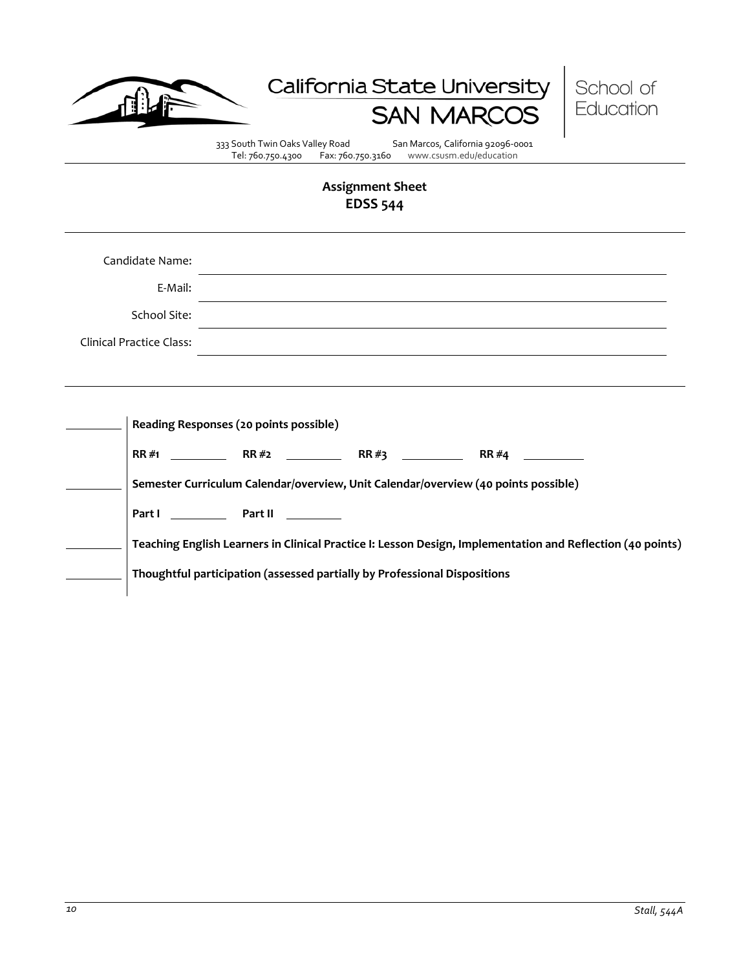





333 South Twin Oaks Valley Road San Marcos, California 92096-0001<br>Tel: 760.750.4300 Fax: 760.750.3160 www.csusm.edu/education www.csusm.edu/education

# **Assignment Sheet EDSS 544**

| Candidate Name:<br>E-Mail:      |                                                                                                                                                                                                                                                                                                                                           |
|---------------------------------|-------------------------------------------------------------------------------------------------------------------------------------------------------------------------------------------------------------------------------------------------------------------------------------------------------------------------------------------|
| School Site:                    |                                                                                                                                                                                                                                                                                                                                           |
| <b>Clinical Practice Class:</b> |                                                                                                                                                                                                                                                                                                                                           |
|                                 |                                                                                                                                                                                                                                                                                                                                           |
|                                 | Reading Responses (20 points possible)<br>Semester Curriculum Calendar/overview, Unit Calendar/overview (40 points possible)<br>Part I Part II<br>Teaching English Learners in Clinical Practice I: Lesson Design, Implementation and Reflection (40 points)<br>Thoughtful participation (assessed partially by Professional Dispositions |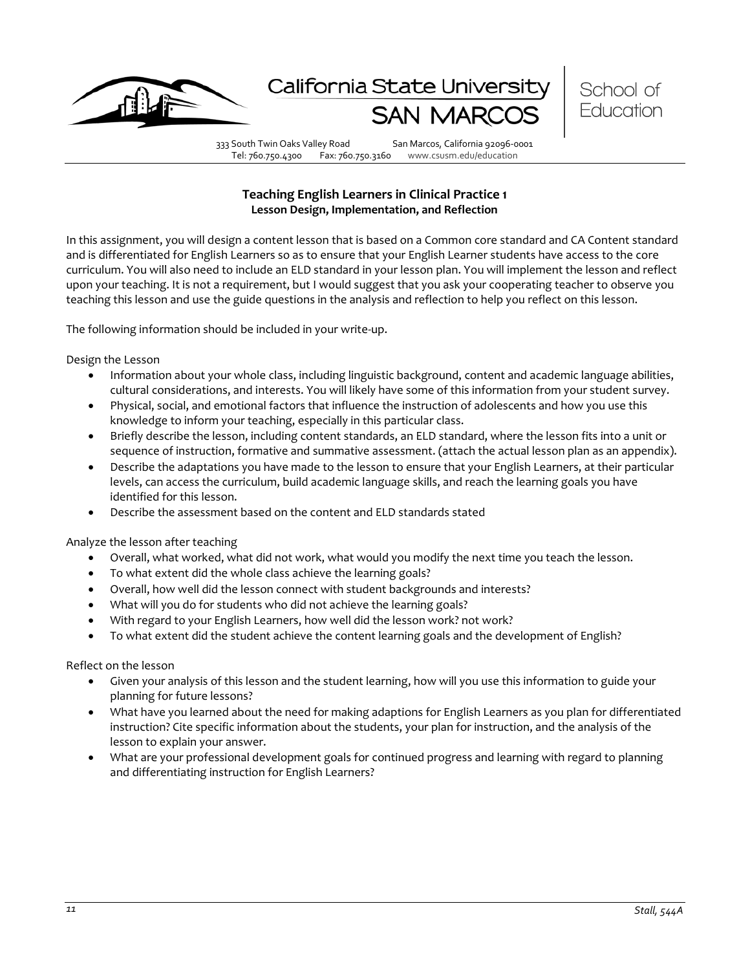

California State Univers



333 South Twin Oaks Valley Road San Marcos, California 92096-0001 Tel: 760.750.4300 Fax: 760.750.3160 www.csusm.edu/education

# **Teaching English Learners in Clinical Practice 1 Lesson Design, Implementation, and Reflection**

In this assignment, you will design a content lesson that is based on a Common core standard and CA Content standard and is differentiated for English Learners so as to ensure that your English Learner students have access to the core curriculum. You will also need to include an ELD standard in your lesson plan. You will implement the lesson and reflect upon your teaching. It is not a requirement, but I would suggest that you ask your cooperating teacher to observe you teaching this lesson and use the guide questions in the analysis and reflection to help you reflect on this lesson.

The following information should be included in your write-up.

Design the Lesson

- Information about your whole class, including linguistic background, content and academic language abilities, cultural considerations, and interests. You will likely have some of this information from your student survey.
- Physical, social, and emotional factors that influence the instruction of adolescents and how you use this knowledge to inform your teaching, especially in this particular class.
- Briefly describe the lesson, including content standards, an ELD standard, where the lesson fits into a unit or sequence of instruction, formative and summative assessment. (attach the actual lesson plan as an appendix).
- Describe the adaptations you have made to the lesson to ensure that your English Learners, at their particular levels, can access the curriculum, build academic language skills, and reach the learning goals you have identified for this lesson.
- Describe the assessment based on the content and ELD standards stated

Analyze the lesson after teaching

- Overall, what worked, what did not work, what would you modify the next time you teach the lesson.
- To what extent did the whole class achieve the learning goals?
- Overall, how well did the lesson connect with student backgrounds and interests?
- What will you do for students who did not achieve the learning goals?
- With regard to your English Learners, how well did the lesson work? not work?
- To what extent did the student achieve the content learning goals and the development of English?

Reflect on the lesson

- Given your analysis of this lesson and the student learning, how will you use this information to guide your planning for future lessons?
- What have you learned about the need for making adaptions for English Learners as you plan for differentiated instruction? Cite specific information about the students, your plan for instruction, and the analysis of the lesson to explain your answer.
- What are your professional development goals for continued progress and learning with regard to planning and differentiating instruction for English Learners?